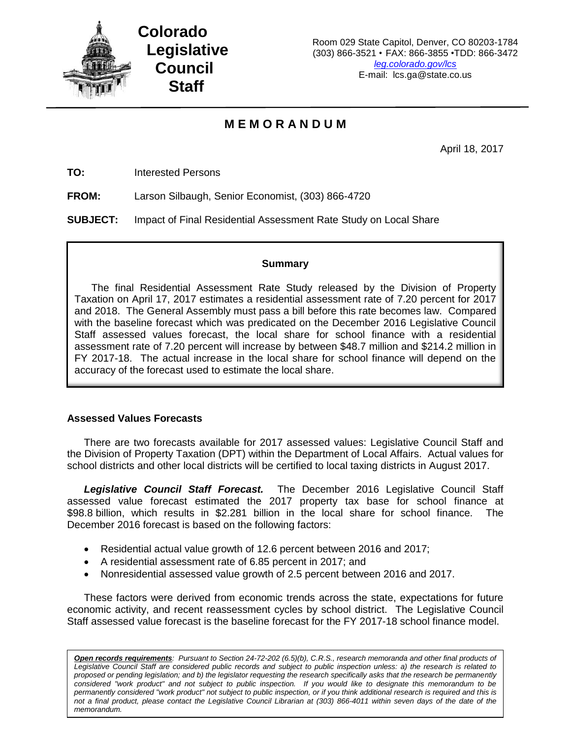

**Colorado Legislative Council Staff**

# **M E M O R A N D U M**

April 18, 2017

**TO:** Interested Persons

**FROM:** Larson Silbaugh, Senior Economist, (303) 866-4720

**SUBJECT:** Impact of Final Residential Assessment Rate Study on Local Share

#### **Summary**

The final Residential Assessment Rate Study released by the Division of Property Taxation on April 17, 2017 estimates a residential assessment rate of 7.20 percent for 2017 and 2018. The General Assembly must pass a bill before this rate becomes law. Compared with the baseline forecast which was predicated on the December 2016 Legislative Council Staff assessed values forecast, the local share for school finance with a residential assessment rate of 7.20 percent will increase by between \$48.7 million and \$214.2 million in FY 2017-18. The actual increase in the local share for school finance will depend on the accuracy of the forecast used to estimate the local share.

## **Assessed Values Forecasts**

There are two forecasts available for 2017 assessed values: Legislative Council Staff and the Division of Property Taxation (DPT) within the Department of Local Affairs. Actual values for school districts and other local districts will be certified to local taxing districts in August 2017.

*Legislative Council Staff Forecast.* The December 2016 Legislative Council Staff assessed value forecast estimated the 2017 property tax base for school finance at \$98.8 billion, which results in \$2.281 billion in the local share for school finance. The December 2016 forecast is based on the following factors:

- Residential actual value growth of 12.6 percent between 2016 and 2017;
- A residential assessment rate of 6.85 percent in 2017; and
- Nonresidential assessed value growth of 2.5 percent between 2016 and 2017.

These factors were derived from economic trends across the state, expectations for future economic activity, and recent reassessment cycles by school district. The Legislative Council Staff assessed value forecast is the baseline forecast for the FY 2017-18 school finance model.

*Open records requirements: Pursuant to Section 24-72-202 (6.5)(b), C.R.S., research memoranda and other final products of Legislative Council Staff are considered public records and subject to public inspection unless: a) the research is related to proposed or pending legislation; and b) the legislator requesting the research specifically asks that the research be permanently considered "work product" and not subject to public inspection. If you would like to designate this memorandum to be permanently considered "work product" not subject to public inspection, or if you think additional research is required and this is not a final product, please contact the Legislative Council Librarian at (303) 866-4011 within seven days of the date of the memorandum.*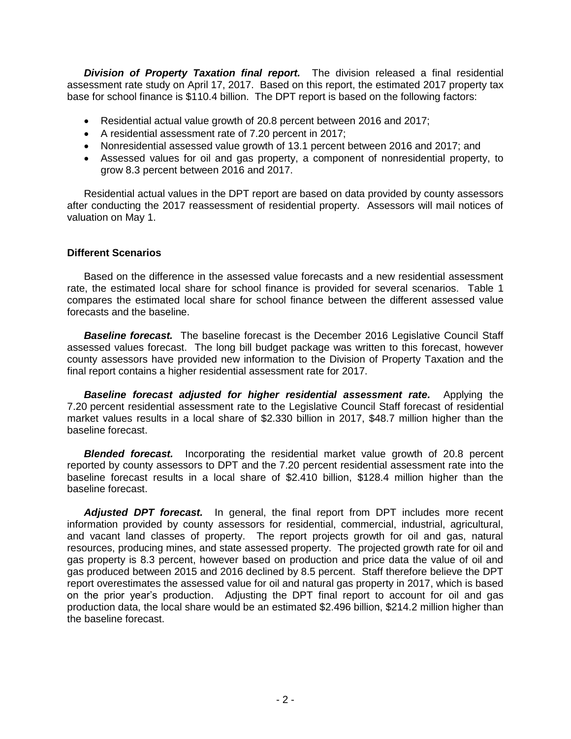*Division of Property Taxation final report.* The division released a final residential assessment rate study on April 17, 2017. Based on this report, the estimated 2017 property tax base for school finance is \$110.4 billion. The DPT report is based on the following factors:

- Residential actual value growth of 20.8 percent between 2016 and 2017;
- A residential assessment rate of 7.20 percent in 2017;
- Nonresidential assessed value growth of 13.1 percent between 2016 and 2017; and
- Assessed values for oil and gas property, a component of nonresidential property, to grow 8.3 percent between 2016 and 2017.

Residential actual values in the DPT report are based on data provided by county assessors after conducting the 2017 reassessment of residential property. Assessors will mail notices of valuation on May 1.

## **Different Scenarios**

Based on the difference in the assessed value forecasts and a new residential assessment rate, the estimated local share for school finance is provided for several scenarios. Table 1 compares the estimated local share for school finance between the different assessed value forecasts and the baseline.

**Baseline forecast.** The baseline forecast is the December 2016 Legislative Council Staff assessed values forecast. The long bill budget package was written to this forecast, however county assessors have provided new information to the Division of Property Taxation and the final report contains a higher residential assessment rate for 2017.

**Baseline forecast adjusted for higher residential assessment rate.** Applying the 7.20 percent residential assessment rate to the Legislative Council Staff forecast of residential market values results in a local share of \$2.330 billion in 2017, \$48.7 million higher than the baseline forecast.

**Blended forecast.** Incorporating the residential market value growth of 20.8 percent reported by county assessors to DPT and the 7.20 percent residential assessment rate into the baseline forecast results in a local share of \$2.410 billion, \$128.4 million higher than the baseline forecast.

*Adjusted DPT forecast.* In general, the final report from DPT includes more recent information provided by county assessors for residential, commercial, industrial, agricultural, and vacant land classes of property. The report projects growth for oil and gas, natural resources, producing mines, and state assessed property. The projected growth rate for oil and gas property is 8.3 percent, however based on production and price data the value of oil and gas produced between 2015 and 2016 declined by 8.5 percent. Staff therefore believe the DPT report overestimates the assessed value for oil and natural gas property in 2017, which is based on the prior year's production. Adjusting the DPT final report to account for oil and gas production data, the local share would be an estimated \$2.496 billion, \$214.2 million higher than the baseline forecast.